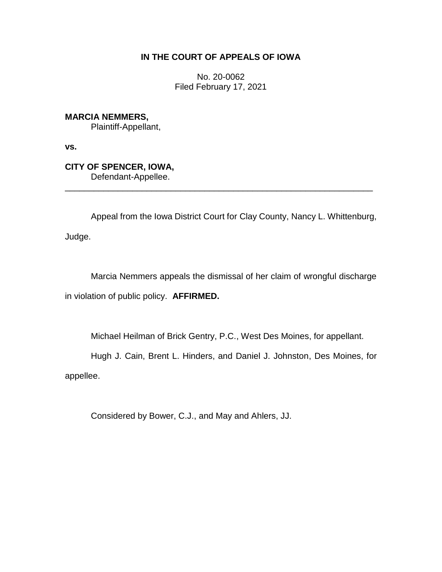## **IN THE COURT OF APPEALS OF IOWA**

No. 20-0062 Filed February 17, 2021

**MARCIA NEMMERS,** Plaintiff-Appellant,

**vs.**

**CITY OF SPENCER, IOWA,** Defendant-Appellee.

Appeal from the Iowa District Court for Clay County, Nancy L. Whittenburg, Judge.

\_\_\_\_\_\_\_\_\_\_\_\_\_\_\_\_\_\_\_\_\_\_\_\_\_\_\_\_\_\_\_\_\_\_\_\_\_\_\_\_\_\_\_\_\_\_\_\_\_\_\_\_\_\_\_\_\_\_\_\_\_\_\_\_

Marcia Nemmers appeals the dismissal of her claim of wrongful discharge in violation of public policy. **AFFIRMED.**

Michael Heilman of Brick Gentry, P.C., West Des Moines, for appellant.

Hugh J. Cain, Brent L. Hinders, and Daniel J. Johnston, Des Moines, for appellee.

Considered by Bower, C.J., and May and Ahlers, JJ.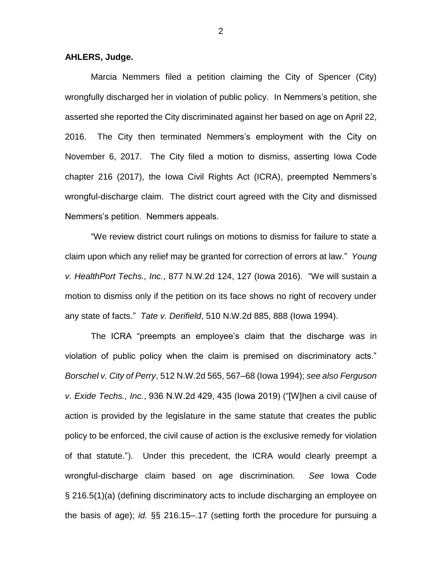**AHLERS, Judge.**

Marcia Nemmers filed a petition claiming the City of Spencer (City) wrongfully discharged her in violation of public policy. In Nemmers's petition, she asserted she reported the City discriminated against her based on age on April 22, 2016. The City then terminated Nemmers's employment with the City on November 6, 2017. The City filed a motion to dismiss, asserting Iowa Code chapter 216 (2017), the Iowa Civil Rights Act (ICRA), preempted Nemmers's wrongful-discharge claim. The district court agreed with the City and dismissed Nemmers's petition. Nemmers appeals.

"We review district court rulings on motions to dismiss for failure to state a claim upon which any relief may be granted for correction of errors at law." *Young v. HealthPort Techs., Inc.*, 877 N.W.2d 124, 127 (Iowa 2016). "We will sustain a motion to dismiss only if the petition on its face shows no right of recovery under any state of facts." *Tate v. Derifield*, 510 N.W.2d 885, 888 (Iowa 1994).

The ICRA "preempts an employee's claim that the discharge was in violation of public policy when the claim is premised on discriminatory acts." *Borschel v. City of Perry*, 512 N.W.2d 565, 567–68 (Iowa 1994); *see also Ferguson v. Exide Techs., Inc.*, 936 N.W.2d 429, 435 (Iowa 2019) ("[W]hen a civil cause of action is provided by the legislature in the same statute that creates the public policy to be enforced, the civil cause of action is the exclusive remedy for violation of that statute."). Under this precedent, the ICRA would clearly preempt a wrongful-discharge claim based on age discrimination. *See* Iowa Code § 216.5(1)(a) (defining discriminatory acts to include discharging an employee on the basis of age); *id.* §§ 216.15–.17 (setting forth the procedure for pursuing a